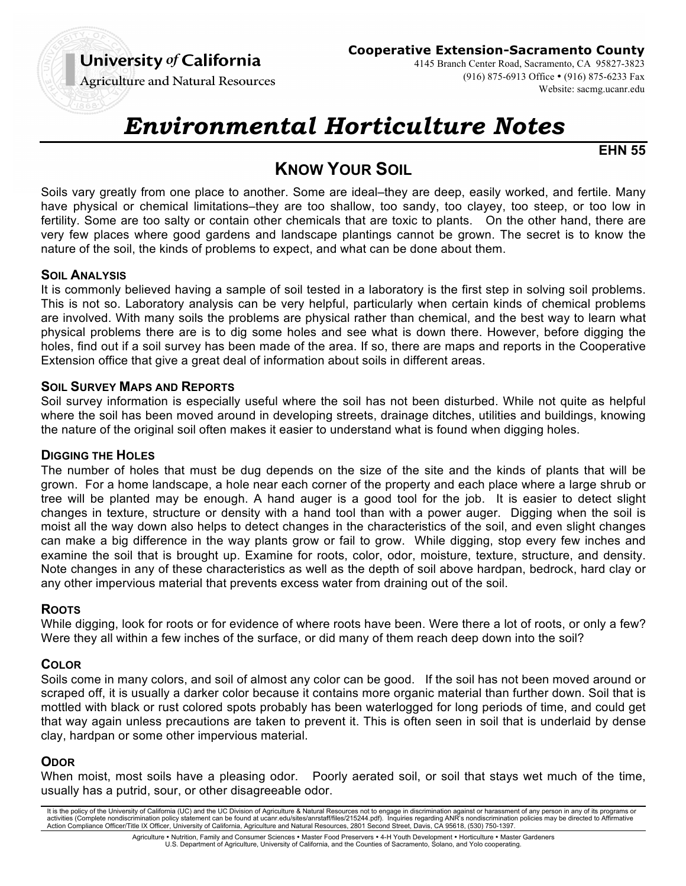# University of California

**Cooperative Extension-Sacramento County**

**Agriculture and Natural Resources** 

4145 Branch Center Road, Sacramento, CA 95827-3823 (916) 875-6913 Office • (916) 875-6233 Fax Website: sacmg.ucanr.edu

# *Environmental Horticulture Notes*

**EHN 55**

# **KNOW YOUR SOIL**

Soils vary greatly from one place to another. Some are ideal–they are deep, easily worked, and fertile. Many have physical or chemical limitations–they are too shallow, too sandy, too clayey, too steep, or too low in fertility. Some are too salty or contain other chemicals that are toxic to plants. On the other hand, there are very few places where good gardens and landscape plantings cannot be grown. The secret is to know the nature of the soil, the kinds of problems to expect, and what can be done about them.

## **SOIL ANALYSIS**

It is commonly believed having a sample of soil tested in a laboratory is the first step in solving soil problems. This is not so. Laboratory analysis can be very helpful, particularly when certain kinds of chemical problems are involved. With many soils the problems are physical rather than chemical, and the best way to learn what physical problems there are is to dig some holes and see what is down there. However, before digging the holes, find out if a soil survey has been made of the area. If so, there are maps and reports in the Cooperative Extension office that give a great deal of information about soils in different areas.

## **SOIL SURVEY MAPS AND REPORTS**

Soil survey information is especially useful where the soil has not been disturbed. While not quite as helpful where the soil has been moved around in developing streets, drainage ditches, utilities and buildings, knowing the nature of the original soil often makes it easier to understand what is found when digging holes.

#### **DIGGING THE HOLES**

The number of holes that must be dug depends on the size of the site and the kinds of plants that will be grown. For a home landscape, a hole near each corner of the property and each place where a large shrub or tree will be planted may be enough. A hand auger is a good tool for the job. It is easier to detect slight changes in texture, structure or density with a hand tool than with a power auger. Digging when the soil is moist all the way down also helps to detect changes in the characteristics of the soil, and even slight changes can make a big difference in the way plants grow or fail to grow. While digging, stop every few inches and examine the soil that is brought up. Examine for roots, color, odor, moisture, texture, structure, and density. Note changes in any of these characteristics as well as the depth of soil above hardpan, bedrock, hard clay or any other impervious material that prevents excess water from draining out of the soil.

#### **ROOTS**

While digging, look for roots or for evidence of where roots have been. Were there a lot of roots, or only a few? Were they all within a few inches of the surface, or did many of them reach deep down into the soil?

# **COLOR**

Soils come in many colors, and soil of almost any color can be good. If the soil has not been moved around or scraped off, it is usually a darker color because it contains more organic material than further down. Soil that is mottled with black or rust colored spots probably has been waterlogged for long periods of time, and could get that way again unless precautions are taken to prevent it. This is often seen in soil that is underlaid by dense clay, hardpan or some other impervious material.

#### **ODOR**

When moist, most soils have a pleasing odor. Poorly aerated soil, or soil that stays wet much of the time, usually has a putrid, sour, or other disagreeable odor.

It is the policy of the University of California (UC) and the UC Division of Agriculture & Natural Resources not to engage in discrimination against or harassment of any person in any of its programs or<br>activities (Complet Action Compliance Officer/Title IX Officer, University of California, Agriculture and Natural Resources, 2801 Second Street, Davis, CA 95618, (530) 750-1397. Agriculture • Nutrition, Family and Consumer Sciences • Master Food Preservers • 4-H Youth Development • Horticulture • Master Gardeners

U.S. Department of Agriculture, University of California, and the Counties of Sacramento, Solano, and Yolo cooperating.